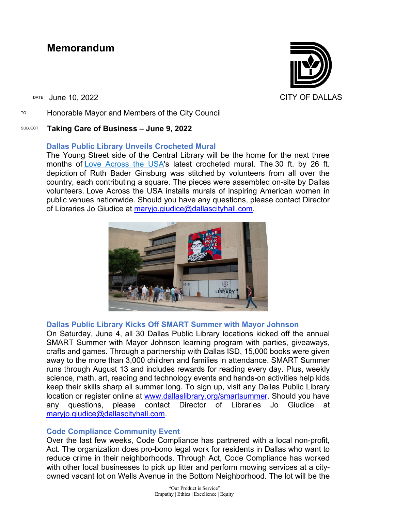# **Memorandum**

TO Honorable Mayor and Members of the City Council

# SUBJECT **Taking Care of Business – June 9, 2022**

# **Dallas Public Library Unveils Crocheted Mural**

The Young Street side of the Central Library will be the home for the next three months of [Love Across the USA'](https://gcc02.safelinks.protection.outlook.com/?url=https%3A%2F%2Fwww.loveacrosstheusa.org%2F&data=05%7C01%7Cbrandon.castillo%40dallascityhall.com%7C5c1865d13fd9415ec2da08da48d9705e%7C2935709ec10c4809a302852d369f8700%7C0%7C0%7C637902395986914141%7CUnknown%7CTWFpbGZsb3d8eyJWIjoiMC4wLjAwMDAiLCJQIjoiV2luMzIiLCJBTiI6Ik1haWwiLCJXVCI6Mn0%3D%7C3000%7C%7C%7C&sdata=RWfy1bZYJMYzE7xA6jINN4ePheWGSveULitJT2qONBA%3D&reserved=0)s latest crocheted mural. The 30 ft. by 26 ft. depiction of Ruth Bader Ginsburg was stitched by volunteers from all over the country, each contributing a square. The pieces were assembled on-site by Dallas volunteers. Love Across the USA installs murals of inspiring American women in public venues nationwide. Should you have any questions, please contact Director of Libraries Jo Giudice at [maryjo.giudice@dallascityhall.com.](mailto:maryjo.giudice@dallascityhall.com)



# **Dallas Public Library Kicks Off SMART Summer with Mayor Johnson**

On Saturday, June 4, all 30 Dallas Public Library locations kicked off the annual SMART Summer with Mayor Johnson learning program with parties, giveaways, crafts and games. Through a partnership with Dallas ISD, 15,000 books were given away to the more than 3,000 children and families in attendance. SMART Summer runs through August 13 and includes rewards for reading every day. Plus, weekly science, math, art, reading and technology events and hands-on activities help kids keep their skills sharp all summer long. To sign up, visit any Dallas Public Library location or register online at [www.dallaslibrary.org/smartsummer.](https://gcc02.safelinks.protection.outlook.com/?url=http%3A%2F%2Fwww.dallaslibrary.org%2Fsmartsummer&data=05%7C01%7Cbrandon.castillo%40dallascityhall.com%7C5c1865d13fd9415ec2da08da48d9705e%7C2935709ec10c4809a302852d369f8700%7C0%7C0%7C637902395986914141%7CUnknown%7CTWFpbGZsb3d8eyJWIjoiMC4wLjAwMDAiLCJQIjoiV2luMzIiLCJBTiI6Ik1haWwiLCJXVCI6Mn0%3D%7C3000%7C%7C%7C&sdata=59g2Y6G9jVHa7%2FhyUCC7lpCJPNH8b%2FGW%2F1aOL1Z5ng8%3D&reserved=0) Should you have any questions, please contact Director of Libraries Jo Giudice at [maryjo.giudice@dallascityhall.com.](mailto:maryjo.giudice@dallascityhall.com)

# **Code Compliance Community Event**

Over the last few weeks, Code Compliance has partnered with a local non-profit, Act. The organization does pro-bono legal work for residents in Dallas who want to reduce crime in their neighborhoods. Through Act, Code Compliance has worked with other local businesses to pick up litter and perform mowing services at a cityowned vacant lot on Wells Avenue in the Bottom Neighborhood. The lot will be the

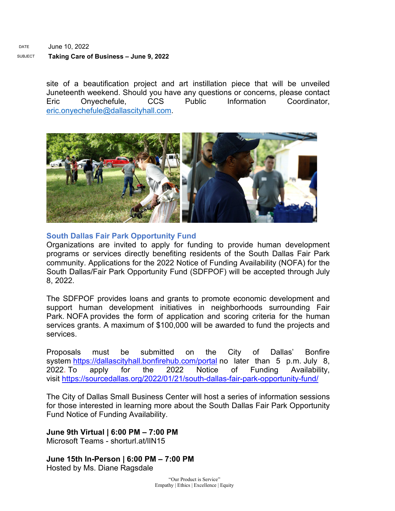#### DATE June 10, 2022 SUBJECT **Taking Care of Business – June 9, 2022**

site of a beautification project and art instillation piece that will be unveiled Juneteenth weekend. Should you have any questions or concerns, please contact Eric Onyechefule, CCS Public Information Coordinator, [eric.onyechefule@dallascityhall.com.](mailto:eric.onyechefule@dallascityhall.com)



## **South Dallas Fair Park Opportunity Fund**

Organizations are invited to apply for funding to provide human development programs or services directly benefiting residents of the South Dallas Fair Park community. Applications for the 2022 Notice of Funding Availability (NOFA) for the South Dallas/Fair Park Opportunity Fund (SDFPOF) will be accepted through July 8, 2022.

The SDFPOF provides loans and grants to promote economic development and support human development initiatives in neighborhoods surrounding Fair Park. NOFA provides the form of application and scoring criteria for the human services grants. A maximum of \$100,000 will be awarded to fund the projects and services.

Proposals must be submitted on the City of Dallas' Bonfire system [https://dallascityhall.bonfirehub.com/portal](https://gcc02.safelinks.protection.outlook.com/?url=https%3A%2F%2Fdallascityhall.bonfirehub.com%2Fportal&data=05%7C01%7Cbrandon.castillo%40dallascityhall.com%7Cf9baf87f315f4467cf0108da48c2c6ff%7C2935709ec10c4809a302852d369f8700%7C0%7C0%7C637902300118955291%7CUnknown%7CTWFpbGZsb3d8eyJWIjoiMC4wLjAwMDAiLCJQIjoiV2luMzIiLCJBTiI6Ik1haWwiLCJXVCI6Mn0%3D%7C3000%7C%7C%7C&sdata=ATTiwaTnzmyL45p1nldRQdNBSslIXyNOjtE5TqTrP0c%3D&reserved=0) no later than 5 p.m. July 8, 2022. To apply for the 2022 Notice of Funding Availability, visit [https://sourcedallas.org/2022/01/21/south-dallas-fair-park-opportunity-fund/](https://gcc02.safelinks.protection.outlook.com/?url=https%3A%2F%2Fsourcedallas.org%2F2022%2F01%2F21%2Fsouth-dallas-fair-park-opportunity-fund%2F&data=05%7C01%7Cbrandon.castillo%40dallascityhall.com%7Cf9baf87f315f4467cf0108da48c2c6ff%7C2935709ec10c4809a302852d369f8700%7C0%7C0%7C637902300118955291%7CUnknown%7CTWFpbGZsb3d8eyJWIjoiMC4wLjAwMDAiLCJQIjoiV2luMzIiLCJBTiI6Ik1haWwiLCJXVCI6Mn0%3D%7C3000%7C%7C%7C&sdata=vRNcRA53aMwEve7xXN29QqHM2LoiNg2t24zSpo4gab0%3D&reserved=0)

The City of Dallas Small Business Center will host a series of information sessions for those interested in learning more about the South Dallas Fair Park Opportunity Fund Notice of Funding Availability.

**June 9th Virtual | 6:00 PM – 7:00 PM** Microsoft Teams - shorturl at/IIN15

**June 15th In-Person | 6:00 PM – 7:00 PM** Hosted by Ms. Diane Ragsdale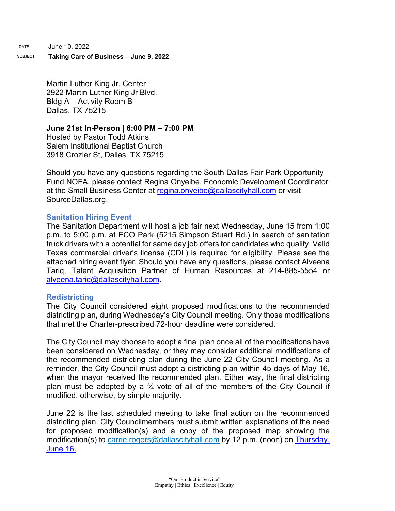DATE June 10, 2022

#### SUBJECT **Taking Care of Business – June 9, 2022**

Martin Luther King Jr. Center 2922 Martin Luther King Jr Blvd, Bldg A – Activity Room B Dallas, TX 75215

#### **June 21st In-Person | 6:00 PM – 7:00 PM**

Hosted by Pastor Todd Atkins Salem Institutional Baptist Church 3918 Crozier St, Dallas, TX 75215

Should you have any questions regarding the South Dallas Fair Park Opportunity Fund NOFA, please contact Regina Onyeibe, Economic Development Coordinator at the Small Business Center at [regina.onyeibe@dallascityhall.com](mailto:regina.onyeibe@dallascityhall.com) or visit SourceDallas.org.

## **Sanitation Hiring Event**

The Sanitation Department will host a job fair next Wednesday, June 15 from 1:00 p.m. to 5:00 p.m. at ECO Park (5215 Simpson Stuart Rd.) in search of sanitation truck drivers with a potential for same day job offers for candidates who qualify. Valid Texas commercial driver's license (CDL) is required for eligibility. Please see the attached hiring event flyer. Should you have any questions, please contact Alveena Tariq, Talent Acquisition Partner of Human Resources at 214-885-5554 or [alveena.tariq@dallascityhall.com.](mailto:alveena.tariq@dallascityhall.com)

#### **[Redistricting](https://gcc02.safelinks.protection.outlook.com/?url=https%3A%2F%2Fdallasredistricting.com%2F&data=05%7C01%7Cbrandon.castillo%40dallascityhall.com%7C15d234e73747426c09b208da48cbc3bd%7C2935709ec10c4809a302852d369f8700%7C0%7C0%7C637902337249375980%7CUnknown%7CTWFpbGZsb3d8eyJWIjoiMC4wLjAwMDAiLCJQIjoiV2luMzIiLCJBTiI6Ik1haWwiLCJXVCI6Mn0%3D%7C3000%7C%7C%7C&sdata=H3nG1xu4F9rnBDXmUUcLqrPSKUma3gTwAIjIS4VJw2I%3D&reserved=0)**

The City Council considered eight proposed modifications to the recommended districting plan, during Wednesday's City Council meeting. Only those modifications that met the Charter-prescribed 72-hour deadline were considered.

The City Council may choose to adopt a final plan once all of the modifications have been considered on Wednesday, or they may consider additional modifications of the recommended districting plan during the June 22 City Council meeting. As a reminder, the City Council must adopt a districting plan within 45 days of May 16, when the mayor received the recommended plan. Either way, the final districting plan must be adopted by a  $\frac{3}{4}$  vote of all of the members of the City Council if modified, otherwise, by simple majority.

June 22 is the last scheduled meeting to take final action on the recommended districting plan. City Councilmembers must submit written explanations of the need for proposed modification(s) and a copy of the proposed map showing the modification(s) to [carrie.rogers@dallascityhall.com](mailto:carrie.rogers@dallascityhall.com) by 12 p.m. (noon) on Thursday, June 16.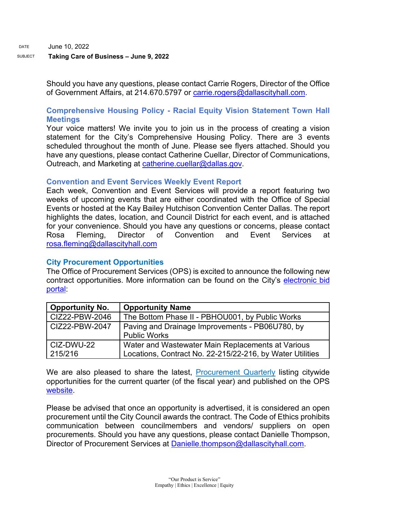## SUBJECT **Taking Care of Business – June 9, 2022**

Should you have any questions, please contact Carrie Rogers, Director of the Office of Government Affairs, at 214.670.5797 or [carrie.rogers@dallascityhall.com.](mailto:carrie.rogers@dallascityhall.com)

# **Comprehensive Housing Policy - Racial Equity Vision Statement Town Hall Meetings**

Your voice matters! We invite you to join us in the process of creating a vision statement for the City's Comprehensive Housing Policy. There are 3 events scheduled throughout the month of June. Please see flyers attached. Should you have any questions, please contact Catherine Cuellar, Director of Communications, Outreach, and Marketing at [catherine.cuellar@dallas.gov.](mailto:catherine.cuellar@dallas.gov)

# **Convention and Event Services Weekly Event Report**

Each week, Convention and Event Services will provide a report featuring two weeks of upcoming events that are either coordinated with the Office of Special Events or hosted at the Kay Bailey Hutchison Convention Center Dallas. The report highlights the dates, location, and Council District for each event, and is attached for your convenience. Should you have any questions or concerns, please contact Rosa Fleming, Director of Convention and Event Services at [rosa.fleming@dallascityhall.com](mailto:rosa.fleming@dallascityhall.com)

# **City Procurement Opportunities**

The Office of Procurement Services (OPS) is excited to announce the following new contract opportunities. More information can be found on the City's [electronic bid](https://gcc02.safelinks.protection.outlook.com/?url=https%3A%2F%2Fdallascityhall.bonfirehub.com%2Fportal%2F%3Ftab%3DopenOpportunities&data=05%7C01%7Cbrandon.castillo%40dallascityhall.com%7Cdd89d3dccf164d3e66ee08da3cd75bdf%7C2935709ec10c4809a302852d369f8700%7C0%7C0%7C637889192894534790%7CUnknown%7CTWFpbGZsb3d8eyJWIjoiMC4wLjAwMDAiLCJQIjoiV2luMzIiLCJBTiI6Ik1haWwiLCJXVCI6Mn0%3D%7C3000%7C%7C%7C&sdata=4vmS2vXGktWzFd6vvNjylNinuk0a2sV8ju0kdxcChgY%3D&reserved=0)  [portal:](https://gcc02.safelinks.protection.outlook.com/?url=https%3A%2F%2Fdallascityhall.bonfirehub.com%2Fportal%2F%3Ftab%3DopenOpportunities&data=05%7C01%7Cbrandon.castillo%40dallascityhall.com%7Cdd89d3dccf164d3e66ee08da3cd75bdf%7C2935709ec10c4809a302852d369f8700%7C0%7C0%7C637889192894534790%7CUnknown%7CTWFpbGZsb3d8eyJWIjoiMC4wLjAwMDAiLCJQIjoiV2luMzIiLCJBTiI6Ik1haWwiLCJXVCI6Mn0%3D%7C3000%7C%7C%7C&sdata=4vmS2vXGktWzFd6vvNjylNinuk0a2sV8ju0kdxcChgY%3D&reserved=0)

| <b>Opportunity No.</b> | <b>Opportunity Name</b>                                                |
|------------------------|------------------------------------------------------------------------|
| CIZ22-PBW-2046         | The Bottom Phase II - PBHOU001, by Public Works                        |
| CIZ22-PBW-2047         | Paving and Drainage Improvements - PB06U780, by<br><b>Public Works</b> |
| CIZ-DWU-22             | Water and Wastewater Main Replacements at Various                      |
| 215/216                | Locations, Contract No. 22-215/22-216, by Water Utilities              |

We are also pleased to share the latest, [Procurement Quarterly](https://gcc02.safelinks.protection.outlook.com/?url=https%3A%2F%2Fdallascityhall.com%2Fdepartments%2Fprocurement%2FDocuments%2FOPS%2520FY22%2520Q3%2520Procurement%2520Quarterly.pdf&data=05%7C01%7Cbrandon.castillo%40dallascityhall.com%7C6be1b079a4f94dfb8ee308da47e6a014%7C2935709ec10c4809a302852d369f8700%7C0%7C0%7C637901353089202354%7CUnknown%7CTWFpbGZsb3d8eyJWIjoiMC4wLjAwMDAiLCJQIjoiV2luMzIiLCJBTiI6Ik1haWwiLCJXVCI6Mn0%3D%7C3000%7C%7C%7C&sdata=%2FVTu01h0w%2BG9EbV2B61HSFvJck3rJ02AbTrFQ9tXBRQ%3D&reserved=0) listing citywide opportunities for the current quarter (of the fiscal year) and published on the OPS [website.](https://gcc02.safelinks.protection.outlook.com/?url=https%3A%2F%2Fdallascityhall.com%2Fdepartments%2Fprocurement%2FPages%2Fdefault.aspx&data=05%7C01%7Cbrandon.castillo%40dallascityhall.com%7C6be1b079a4f94dfb8ee308da47e6a014%7C2935709ec10c4809a302852d369f8700%7C0%7C0%7C637901353089202354%7CUnknown%7CTWFpbGZsb3d8eyJWIjoiMC4wLjAwMDAiLCJQIjoiV2luMzIiLCJBTiI6Ik1haWwiLCJXVCI6Mn0%3D%7C3000%7C%7C%7C&sdata=hUVDJVI9jsbV0y5UyK2SzucpkI2IJlLOFsNn2HcjkCM%3D&reserved=0)

Please be advised that once an opportunity is advertised, it is considered an open procurement until the City Council awards the contract. The Code of Ethics prohibits communication between councilmembers and vendors/ suppliers on open procurements. Should you have any questions, please contact Danielle Thompson, Director of Procurement Services at [Danielle.thompson@dallascityhall.com.](mailto:Danielle.thompson@dallascityhall.com)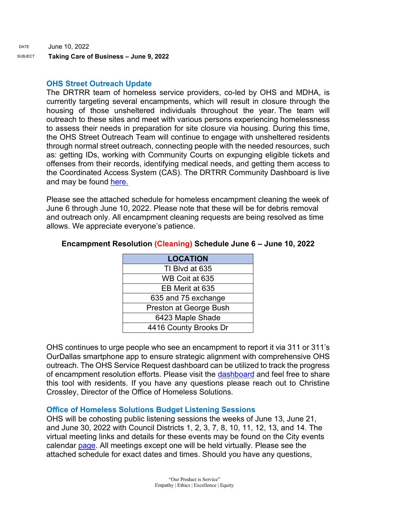SUBJECT **Taking Care of Business – June 9, 2022** 

# **OHS Street Outreach Update**

The DRTRR team of homeless service providers, co-led by OHS and MDHA, is currently targeting several encampments, which will result in closure through the housing of those unsheltered individuals throughout the year. The team will outreach to these sites and meet with various persons experiencing homelessness to assess their needs in preparation for site closure via housing. During this time, the OHS Street Outreach Team will continue to engage with unsheltered residents through normal street outreach, connecting people with the needed resources, such as: getting IDs, working with Community Courts on expunging eligible tickets and offenses from their records, identifying medical needs, and getting them access to the Coordinated Access System (CAS). The DRTRR Community Dashboard is live and may be found [here.](https://www.mdhadallas.org/community-dashboard-2/)

Please see the attached schedule for homeless encampment cleaning the week of June 6 through June 10, 2022. Please note that these will be for debris removal and outreach only. All encampment cleaning requests are being resolved as time allows. We appreciate everyone's patience.

| <b>LOCATION</b>        |  |  |
|------------------------|--|--|
| TI Blvd at 635         |  |  |
| WB Coit at 635         |  |  |
| EB Merit at 635        |  |  |
| 635 and 75 exchange    |  |  |
| Preston at George Bush |  |  |
| 6423 Maple Shade       |  |  |
| 4416 County Brooks Dr  |  |  |

# **Encampment Resolution (Cleaning) Schedule June 6 – June 10, 2022**

OHS continues to urge people who see an encampment to report it via 311 or 311's OurDallas smartphone app to ensure strategic alignment with comprehensive OHS outreach. The OHS Service Request dashboard can be utilized to track the progress of encampment resolution efforts. Please visit the [dashboard](https://gcc02.safelinks.protection.outlook.com/?url=https%3A%2F%2Fdallasgis.maps.arcgis.com%2Fapps%2Fopsdashboard%2Findex.html%23%2Fccd41f0d795f407a94ae17e2c27bf073&data=04%7C01%7CAmanda.Voigt%40dallascityhall.com%7C45f12cc3352040105b8308d9fbcb6d7a%7C2935709ec10c4809a302852d369f8700%7C0%7C0%7C637817673400555821%7CUnknown%7CTWFpbGZsb3d8eyJWIjoiMC4wLjAwMDAiLCJQIjoiV2luMzIiLCJBTiI6Ik1haWwiLCJXVCI6Mn0%3D%7C3000&sdata=zBK9TJ%2FxRq23uCczgqh0DBvzdKPq6ITbYwpLxvg3nLI%3D&reserved=0) and feel free to share this tool with residents. If you have any questions please reach out to Christine Crossley, Director of the Office of Homeless Solutions.

# **Office of Homeless Solutions Budget Listening Sessions**

OHS will be cohosting public listening sessions the weeks of June 13, June 21, and June 30, 2022 with Council Districts 1, 2, 3, 7, 8, 10, 11, 12, 13, and 14. The virtual meeting links and details for these events may be found on the City events calendar [page.](https://dallascityhall.com/calendar/Pages/default.aspx) All meetings except one will be held virtually. Please see the attached schedule for exact dates and times. Should you have any questions,